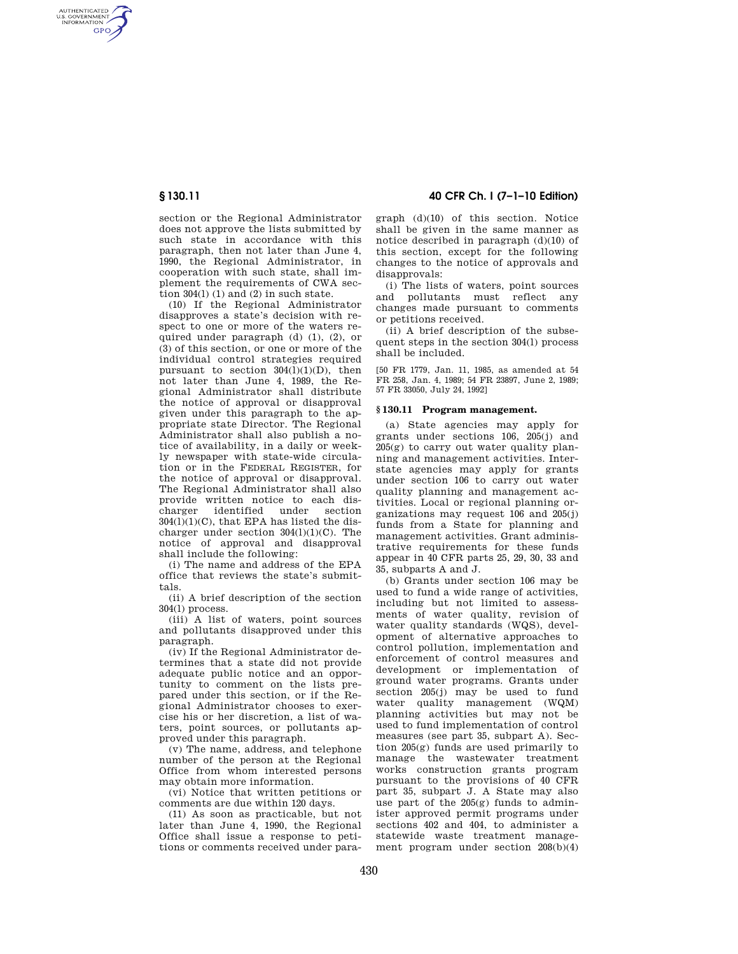AUTHENTICATED<br>U.S. GOVERNMENT<br>INFORMATION **GPO** 

> section or the Regional Administrator does not approve the lists submitted by such state in accordance with this paragraph, then not later than June 4, 1990, the Regional Administrator, in cooperation with such state, shall implement the requirements of CWA section 304(1) (1) and (2) in such state.

> (10) If the Regional Administrator disapproves a state's decision with respect to one or more of the waters required under paragraph (d) (1), (2), or (3) of this section, or one or more of the individual control strategies required pursuant to section  $304(\overline{1})(1)(D)$ , then not later than June 4, 1989, the Regional Administrator shall distribute the notice of approval or disapproval given under this paragraph to the appropriate state Director. The Regional Administrator shall also publish a notice of availability, in a daily or weekly newspaper with state-wide circulation or in the FEDERAL REGISTER, for the notice of approval or disapproval. The Regional Administrator shall also provide written notice to each dis-<br>charger identified under section charger identified under section  $304(1)(1)(C)$ , that EPA has listed the discharger under section  $304(1)(1)(C)$ . The notice of approval and disapproval shall include the following:

(i) The name and address of the EPA office that reviews the state's submittals.

(ii) A brief description of the section  $304(1)$  process.

(iii) A list of waters, point sources and pollutants disapproved under this paragraph.

(iv) If the Regional Administrator determines that a state did not provide adequate public notice and an opportunity to comment on the lists prepared under this section, or if the Regional Administrator chooses to exercise his or her discretion, a list of waters, point sources, or pollutants approved under this paragraph.

(v) The name, address, and telephone number of the person at the Regional Office from whom interested persons may obtain more information.

(vi) Notice that written petitions or comments are due within 120 days.

(11) As soon as practicable, but not later than June 4, 1990, the Regional Office shall issue a response to petitions or comments received under para-

**§ 130.11 40 CFR Ch. I (7–1–10 Edition)** 

graph (d)(10) of this section. Notice shall be given in the same manner as notice described in paragraph (d)(10) of this section, except for the following changes to the notice of approvals and disapprovals:

(i) The lists of waters, point sources and pollutants must reflect any changes made pursuant to comments or petitions received.

(ii) A brief description of the subsequent steps in the section 304(l) process shall be included.

[50 FR 1779, Jan. 11, 1985, as amended at 54 FR 258, Jan. 4, 1989; 54 FR 23897, June 2, 1989; 57 FR 33050, July 24, 1992]

## **§ 130.11 Program management.**

(a) State agencies may apply for grants under sections 106, 205(j) and 205(g) to carry out water quality planning and management activities. Interstate agencies may apply for grants under section 106 to carry out water quality planning and management activities. Local or regional planning organizations may request 106 and 205(j) funds from a State for planning and management activities. Grant administrative requirements for these funds appear in 40 CFR parts 25, 29, 30, 33 and 35, subparts A and J.

(b) Grants under section 106 may be used to fund a wide range of activities, including but not limited to assessments of water quality, revision of water quality standards (WQS), development of alternative approaches to control pollution, implementation and enforcement of control measures and development or implementation of ground water programs. Grants under section 205(j) may be used to fund water quality management (WQM) planning activities but may not be used to fund implementation of control measures (see part 35, subpart A). Section 205(g) funds are used primarily to manage the wastewater treatment works construction grants program pursuant to the provisions of 40 CFR part 35, subpart J. A State may also use part of the  $205(g)$  funds to administer approved permit programs under sections 402 and 404, to administer a statewide waste treatment management program under section  $208(b)(4)$